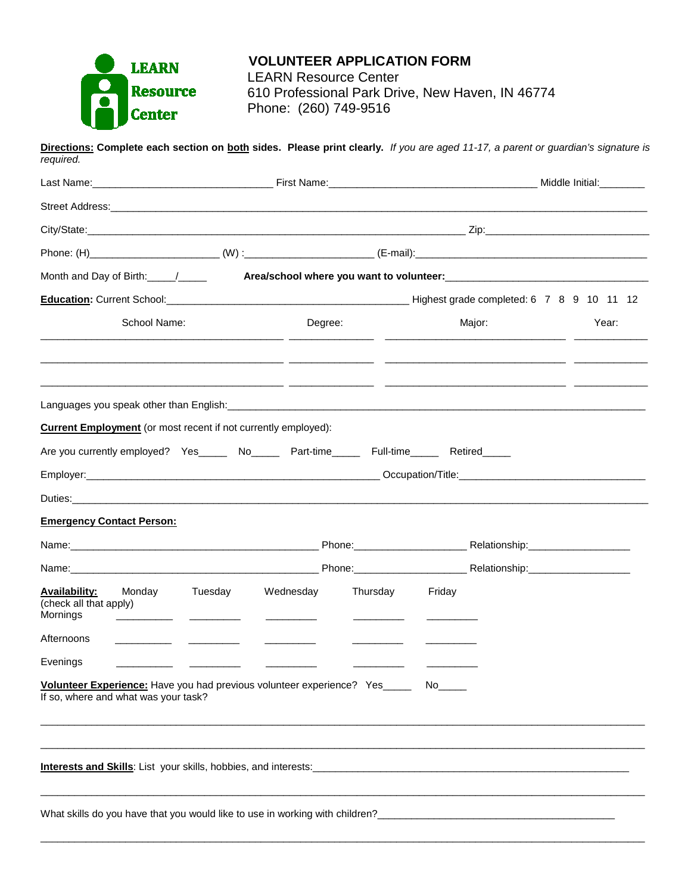

**Directions: Complete each section on both sides. Please print clearly.** *If you are aged 11-17, a parent or guardian's signature is required.* Last Name:\_\_\_\_\_\_\_\_\_\_\_\_\_\_\_\_\_\_\_\_\_\_\_\_\_\_\_\_\_\_\_\_ First Name:\_\_\_\_\_\_\_\_\_\_\_\_\_\_\_\_\_\_\_\_\_\_\_\_\_\_\_\_\_\_\_\_\_\_\_\_\_ Middle Initial:\_\_\_\_\_\_\_\_ Street Address:\_\_\_\_\_\_\_\_\_\_\_\_\_\_\_\_\_\_\_\_\_\_\_\_\_\_\_\_\_\_\_\_\_\_\_\_\_\_\_\_\_\_\_\_\_\_\_\_\_\_\_\_\_\_\_\_\_\_\_\_\_\_\_\_\_\_\_\_\_\_\_\_\_\_\_\_\_\_\_\_\_\_\_\_\_\_\_\_\_\_\_\_\_\_\_ City/State:\_\_\_\_\_\_\_\_\_\_\_\_\_\_\_\_\_\_\_\_\_\_\_\_\_\_\_\_\_\_\_\_\_\_\_\_\_\_\_\_\_\_\_\_\_\_\_\_\_\_\_\_\_\_\_\_\_\_\_\_\_\_\_\_\_\_\_ Zip:\_\_\_\_\_\_\_\_\_\_\_\_\_\_\_\_\_\_\_\_\_\_\_\_\_\_\_\_\_ Phone: (H)\_\_\_\_\_\_\_\_\_\_\_\_\_\_\_\_\_\_\_\_\_\_\_ (W) :\_\_\_\_\_\_\_\_\_\_\_\_\_\_\_\_\_\_\_\_\_\_\_ (E-mail):\_\_\_\_\_\_\_\_\_\_\_\_\_\_\_\_\_\_\_\_\_\_\_\_\_\_\_\_\_\_\_\_\_\_\_\_\_\_\_\_\_ Month and Day of Birth:  $\frac{1}{2}$  **Area/school where you want to volunteer: Education:** Current School:\_\_\_\_\_\_\_\_\_\_\_\_\_\_\_\_\_\_\_\_\_\_\_\_\_\_\_\_\_\_\_\_\_\_\_\_\_\_\_\_\_\_\_ Highest grade completed: 6 7 8 9 10 11 12 School Name: Degree: Major: Year: \_\_\_\_\_\_\_\_\_\_\_\_\_\_\_\_\_\_\_\_\_\_\_\_\_\_\_\_\_\_\_\_\_\_\_\_\_\_\_\_\_\_\_ \_\_\_\_\_\_\_\_\_\_\_\_\_\_\_ \_\_\_\_\_\_\_\_\_\_\_\_\_\_\_\_\_\_\_\_\_\_\_\_\_\_\_\_\_\_\_\_ \_\_\_\_\_\_\_\_\_\_\_\_\_ \_\_\_\_\_\_\_\_\_\_\_\_\_\_\_\_\_\_\_\_\_\_\_\_\_\_\_\_\_\_\_\_\_\_\_\_\_\_\_\_\_\_\_ \_\_\_\_\_\_\_\_\_\_\_\_\_\_\_ \_\_\_\_\_\_\_\_\_\_\_\_\_\_\_\_\_\_\_\_\_\_\_\_\_\_\_\_\_\_\_\_ \_\_\_\_\_\_\_\_\_\_\_\_\_ \_\_\_\_\_\_\_\_\_\_\_\_\_\_\_\_\_\_\_\_\_\_\_\_\_\_\_\_\_\_\_\_\_\_\_\_\_\_\_\_\_\_\_ \_\_\_\_\_\_\_\_\_\_\_\_\_\_\_ \_\_\_\_\_\_\_\_\_\_\_\_\_\_\_\_\_\_\_\_\_\_\_\_\_\_\_\_\_\_\_\_ \_\_\_\_\_\_\_\_\_\_\_\_\_ Languages you speak other than English: **Current Employment** (or most recent if not currently employed): Are you currently employed? Yes\_\_\_\_\_\_ No\_\_\_\_\_\_ Part-time\_\_\_\_\_\_ Full-time\_\_\_\_\_\_ Retired\_\_\_\_\_ Employer: etc. and the contract of the contract of the contract of the contract of the contract of the contract of the contract of the contract of the contract of the contract of the contract of the contract of the contrac Duties:\_\_\_\_\_\_\_\_\_\_\_\_\_\_\_\_\_\_\_\_\_\_\_\_\_\_\_\_\_\_\_\_\_\_\_\_\_\_\_\_\_\_\_\_\_\_\_\_\_\_\_\_\_\_\_\_\_\_\_\_\_\_\_\_\_\_\_\_\_\_\_\_\_\_\_\_\_\_\_\_\_\_\_\_\_\_\_\_\_\_\_\_\_\_\_\_\_\_\_\_\_\_ **Emergency Contact Person:** Name:\_\_\_\_\_\_\_\_\_\_\_\_\_\_\_\_\_\_\_\_\_\_\_\_\_\_\_\_\_\_\_\_\_\_\_\_\_\_\_\_\_\_\_\_ Phone:\_\_\_\_\_\_\_\_\_\_\_\_\_\_\_\_\_\_\_\_ Relationship:\_\_\_\_\_\_\_\_\_\_\_\_\_\_\_\_\_\_ Name:\_\_\_\_\_\_\_\_\_\_\_\_\_\_\_\_\_\_\_\_\_\_\_\_\_\_\_\_\_\_\_\_\_\_\_\_\_\_\_\_\_\_\_\_ Phone:\_\_\_\_\_\_\_\_\_\_\_\_\_\_\_\_\_\_\_\_ Relationship:\_\_\_\_\_\_\_\_\_\_\_\_\_\_\_\_\_\_ **Availability:** Monday Tuesday Wednesday Thursday Friday (check all that apply) Mornings \_\_\_\_\_\_\_\_\_\_ \_\_\_\_\_\_\_\_\_ \_\_\_\_\_\_\_\_\_ \_\_\_\_\_\_\_\_\_ \_\_\_\_\_\_\_\_\_ Afternoons \_\_\_\_\_\_\_\_\_\_ \_\_\_\_\_\_\_\_\_ \_\_\_\_\_\_\_\_\_ \_\_\_\_\_\_\_\_\_ \_\_\_\_\_\_\_\_\_ Evenings \_\_\_\_\_\_\_\_\_\_ \_\_\_\_\_\_\_\_\_ \_\_\_\_\_\_\_\_\_ \_\_\_\_\_\_\_\_\_ \_\_\_\_\_\_\_\_\_ **Volunteer Experience:** Have you had previous volunteer experience? Yes No If so, where and what was your task? \_\_\_\_\_\_\_\_\_\_\_\_\_\_\_\_\_\_\_\_\_\_\_\_\_\_\_\_\_\_\_\_\_\_\_\_\_\_\_\_\_\_\_\_\_\_\_\_\_\_\_\_\_\_\_\_\_\_\_\_\_\_\_\_\_\_\_\_\_\_\_\_\_\_\_\_\_\_\_\_\_\_\_\_\_\_\_\_\_\_\_\_\_\_\_\_\_\_\_\_\_\_\_\_\_\_\_ \_\_\_\_\_\_\_\_\_\_\_\_\_\_\_\_\_\_\_\_\_\_\_\_\_\_\_\_\_\_\_\_\_\_\_\_\_\_\_\_\_\_\_\_\_\_\_\_\_\_\_\_\_\_\_\_\_\_\_\_\_\_\_\_\_\_\_\_\_\_\_\_\_\_\_\_\_\_\_\_\_\_\_\_\_\_\_\_\_\_\_\_\_\_\_\_\_\_\_\_\_\_\_\_\_\_\_ **Interests and Skills**: List your skills, hobbies, and interests:\_\_\_\_\_\_\_\_\_\_\_\_\_\_\_\_\_\_\_\_\_\_\_\_\_\_\_\_\_\_\_\_\_\_\_\_\_\_\_\_\_\_\_\_\_\_\_\_\_\_\_\_\_\_\_\_ \_\_\_\_\_\_\_\_\_\_\_\_\_\_\_\_\_\_\_\_\_\_\_\_\_\_\_\_\_\_\_\_\_\_\_\_\_\_\_\_\_\_\_\_\_\_\_\_\_\_\_\_\_\_\_\_\_\_\_\_\_\_\_\_\_\_\_\_\_\_\_\_\_\_\_\_\_\_\_\_\_\_\_\_\_\_\_\_\_\_\_\_\_\_\_\_\_\_\_\_\_\_\_\_\_\_\_ What skills do you have that you would like to use in working with children?\_\_\_\_\_\_\_\_\_\_\_\_\_\_\_\_\_\_\_\_\_\_\_\_\_\_\_\_\_\_\_\_\_\_\_\_\_\_\_\_\_\_

\_\_\_\_\_\_\_\_\_\_\_\_\_\_\_\_\_\_\_\_\_\_\_\_\_\_\_\_\_\_\_\_\_\_\_\_\_\_\_\_\_\_\_\_\_\_\_\_\_\_\_\_\_\_\_\_\_\_\_\_\_\_\_\_\_\_\_\_\_\_\_\_\_\_\_\_\_\_\_\_\_\_\_\_\_\_\_\_\_\_\_\_\_\_\_\_\_\_\_\_\_\_\_\_\_\_\_